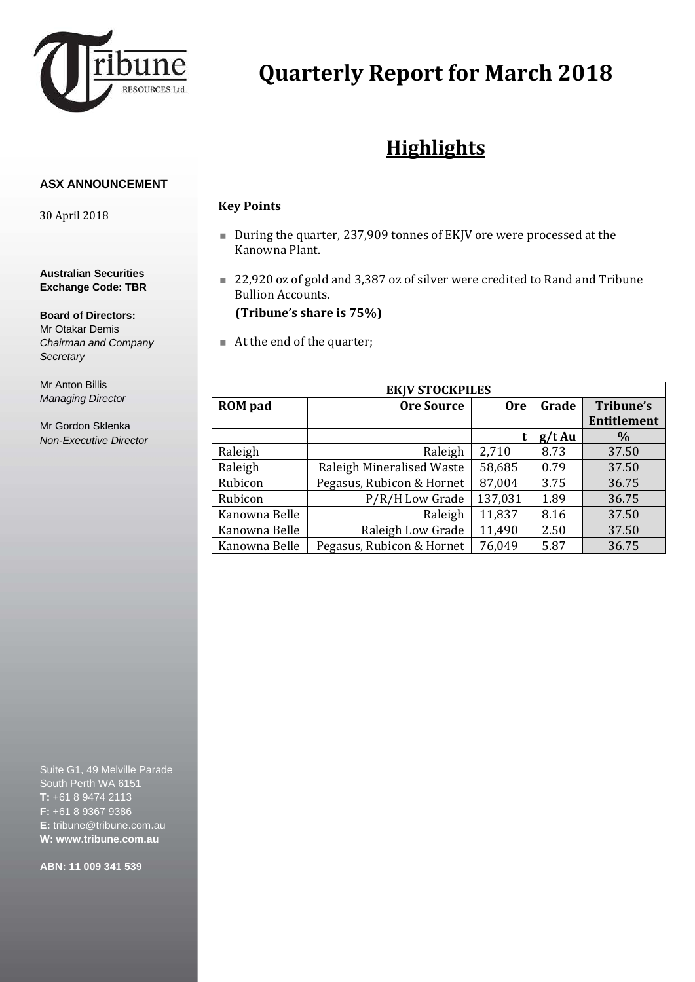

# **Quarterly Report for March 2018**

## **Highlights**

#### **ASX ANNOUNCEMENT**

#### **Key Points**

- During the quarter, 237,909 tonnes of EKJV ore were processed at the Kanowna Plant.
- 22,920 oz of gold and 3,387 oz of silver were credited to Rand and Tribune Bullion Accounts.

**(Tribune's share is 75%)**

■ At the end of the quarter;

| <b>EKJV STOCKPILES</b> |                           |         |           |                    |  |  |  |
|------------------------|---------------------------|---------|-----------|--------------------|--|--|--|
| ROM pad                | <b>Ore Source</b>         | Grade   | Tribune's |                    |  |  |  |
|                        |                           |         |           | <b>Entitlement</b> |  |  |  |
|                        |                           |         | $g/t$ Au  | $\%$               |  |  |  |
| Raleigh                | Raleigh                   | 2,710   | 8.73      | 37.50              |  |  |  |
| Raleigh                | Raleigh Mineralised Waste | 58,685  | 0.79      | 37.50              |  |  |  |
| Rubicon                | Pegasus, Rubicon & Hornet | 87,004  | 3.75      | 36.75              |  |  |  |
| Rubicon                | P/R/H Low Grade           | 137,031 | 1.89      | 36.75              |  |  |  |
| Kanowna Belle          | Raleigh                   | 11,837  | 8.16      | 37.50              |  |  |  |
| Kanowna Belle          | Raleigh Low Grade         | 11,490  | 2.50      | 37.50              |  |  |  |
| Kanowna Belle          | Pegasus, Rubicon & Hornet | 76,049  | 5.87      | 36.75              |  |  |  |

30 April 2018

**Australian Securities Exchange Code: TBR**

**Board of Directors:** Mr Otakar Demis *Chairman and Company Secretary*

Mr Anton Billis *Managing Director*

Mr Gordon Sklenka *Non-Executive Director*

Suite G1, 49 Melville Parade South Perth WA 6151 **T:** +61 8 9474 2113 **F:** +61 8 9367 9386 **E:** tribune@tribune.com.au **W: www.tribune.com.au**

**ABN: 11 009 341 539**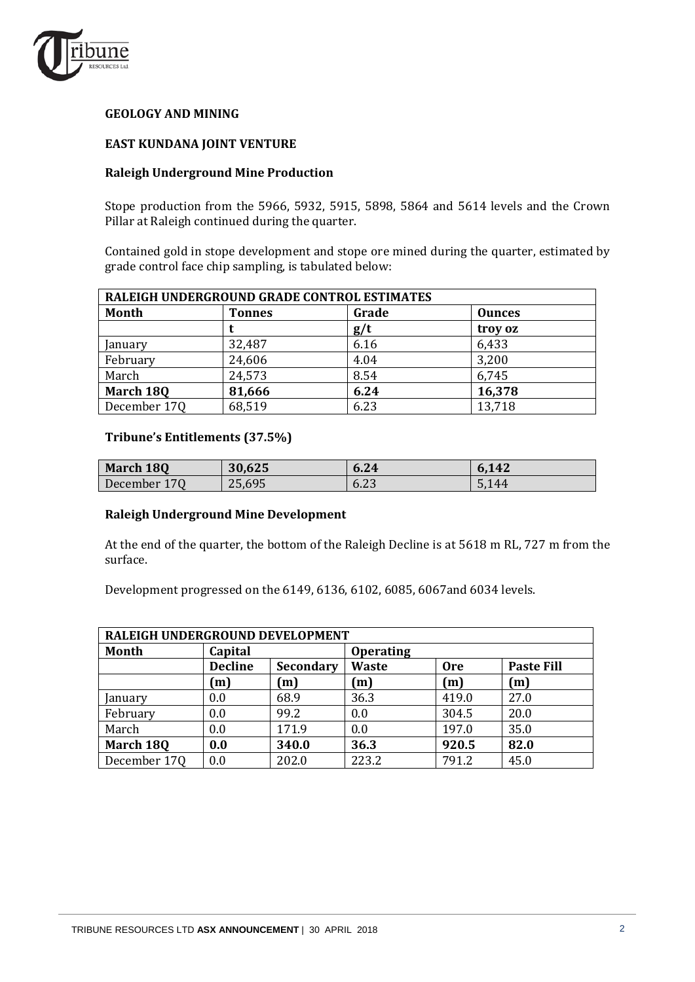

#### **GEOLOGY AND MINING**

#### **EAST KUNDANA JOINT VENTURE**

#### **Raleigh Underground Mine Production**

Stope production from the 5966, 5932, 5915, 5898, 5864 and 5614 levels and the Crown Pillar at Raleigh continued during the quarter.

Contained gold in stope development and stope ore mined during the quarter, estimated by grade control face chip sampling, is tabulated below:

| RALEIGH UNDERGROUND GRADE CONTROL ESTIMATES |                                         |      |         |  |  |  |
|---------------------------------------------|-----------------------------------------|------|---------|--|--|--|
| <b>Month</b>                                | Grade<br><b>Tonnes</b><br><b>Ounces</b> |      |         |  |  |  |
|                                             |                                         | g/t  | troy oz |  |  |  |
| January                                     | 32,487                                  | 6.16 | 6,433   |  |  |  |
| February                                    | 24,606                                  | 4.04 | 3,200   |  |  |  |
| March                                       | 24,573                                  | 8.54 | 6,745   |  |  |  |
| March 18Q                                   | 81,666                                  | 6.24 | 16,378  |  |  |  |
| December 170                                | 68,519                                  | 6.23 | 13,718  |  |  |  |

#### **Tribune's Entitlements (37.5%)**

| March 180       | 30,625 | $\mathbf{a}$<br>6.24 | 6,142 |
|-----------------|--------|----------------------|-------|
| 170<br>December | 25,695 | $\Omega$<br>0.Z3     | 5,144 |

#### **Raleigh Underground Mine Development**

At the end of the quarter, the bottom of the Raleigh Decline is at 5618 m RL, 727 m from the surface.

Development progressed on the 6149, 6136, 6102, 6085, 6067and 6034 levels.

| RALEIGH UNDERGROUND DEVELOPMENT |                |           |                  |                            |      |  |  |  |
|---------------------------------|----------------|-----------|------------------|----------------------------|------|--|--|--|
| <b>Month</b>                    | Capital        |           | <b>Operating</b> |                            |      |  |  |  |
|                                 | <b>Decline</b> | Secondary |                  | <b>Waste</b><br><b>Ore</b> |      |  |  |  |
|                                 | (m)            | (m)       | (m)              | (m)                        | (m)  |  |  |  |
| January                         | 0.0            | 68.9      | 36.3             | 419.0                      | 27.0 |  |  |  |
| February                        | 0.0            | 99.2      | 0.0              | 304.5                      | 20.0 |  |  |  |
| March                           | 0.0            | 171.9     | 0.0              | 197.0                      | 35.0 |  |  |  |
| March 180                       | 0.0            | 340.0     | 36.3             | 920.5                      | 82.0 |  |  |  |
| December 17Q                    | 0.0            | 202.0     | 223.2            | 791.2                      | 45.0 |  |  |  |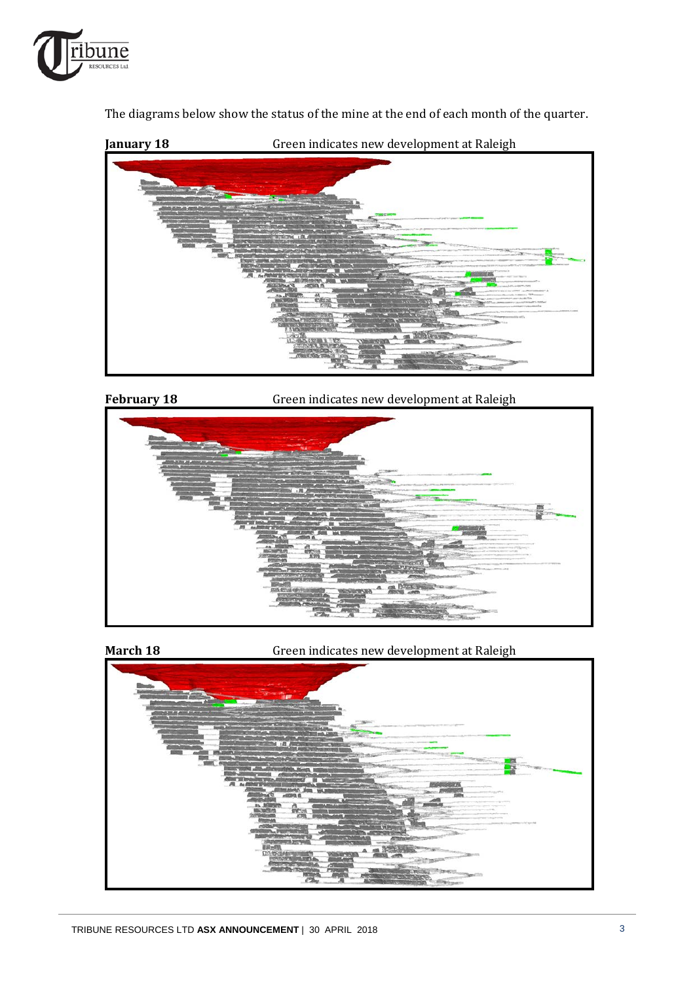

The diagrams below show the status of the mine at the end of each month of the quarter.





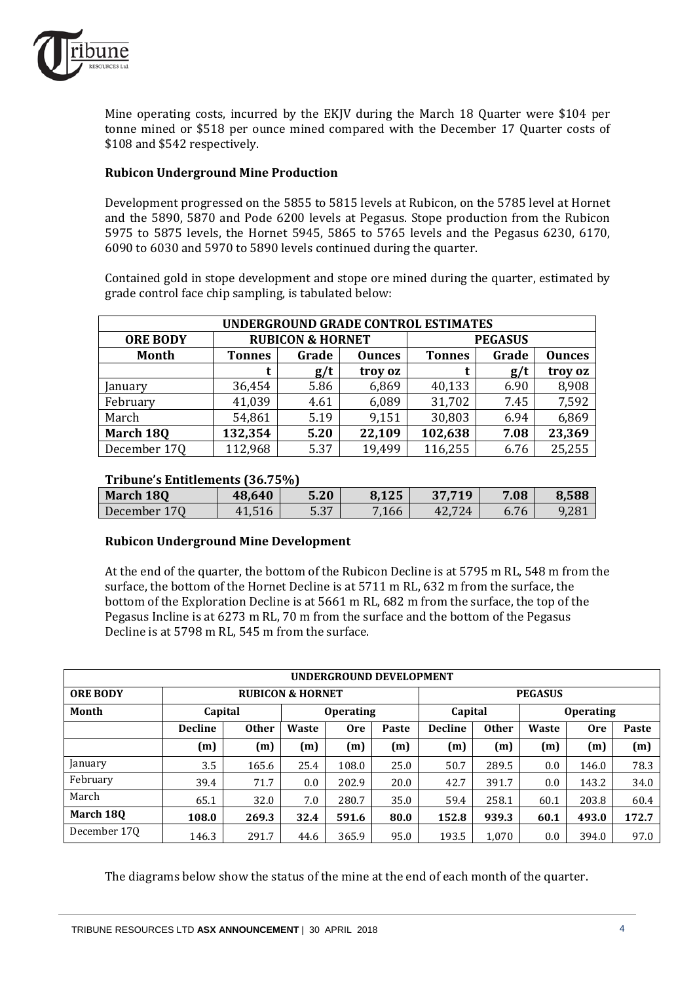

Mine operating costs, incurred by the EKJV during the March 18 Quarter were \$104 per tonne mined or \$518 per ounce mined compared with the December 17 Quarter costs of \$108 and \$542 respectively.

#### **Rubicon Underground Mine Production**

Development progressed on the 5855 to 5815 levels at Rubicon, on the 5785 level at Hornet and the 5890, 5870 and Pode 6200 levels at Pegasus. Stope production from the Rubicon 5975 to 5875 levels, the Hornet 5945, 5865 to 5765 levels and the Pegasus 6230, 6170, 6090 to 6030 and 5970 to 5890 levels continued during the quarter.

Contained gold in stope development and stope ore mined during the quarter, estimated by grade control face chip sampling, is tabulated below:

| UNDERGROUND GRADE CONTROL ESTIMATES |               |                             |         |                |         |               |
|-------------------------------------|---------------|-----------------------------|---------|----------------|---------|---------------|
| <b>ORE BODY</b>                     |               | <b>RUBICON &amp; HORNET</b> |         | <b>PEGASUS</b> |         |               |
| <b>Month</b>                        | <b>Tonnes</b> | Grade<br><b>Ounces</b>      |         | <b>Tonnes</b>  | Grade   | <b>Ounces</b> |
|                                     |               | g/t                         | troy oz |                | troy oz |               |
| January                             | 36,454        | 5.86                        | 6,869   | 40,133         | 6.90    | 8,908         |
| February                            | 41,039        | 4.61                        | 6,089   | 31,702         | 7.45    | 7,592         |
| March                               | 54,861        | 5.19                        | 9,151   | 30,803         | 6.94    | 6,869         |
| March 18Q                           | 132,354       | 5.20                        | 22,109  | 102,638        | 7.08    | 23,369        |
| December 170                        | 112,968       | 5.37                        | 19,499  | 116,255        | 6.76    | 25,255        |

#### **Tribune's Entitlements (36.75%)**

| ------------------------------<br>. |        |               |        |             |      |                   |
|-------------------------------------|--------|---------------|--------|-------------|------|-------------------|
| March 180                           | 48,640 | 5.20          | 8,125  | 27 71Q      | 7.08 | 8,588             |
| December                            | 41,516 | r 27<br>، ن.ر | 7,166. | 724<br>42.7 | 76   | 9,28 <sub>1</sub> |

#### **Rubicon Underground Mine Development**

At the end of the quarter, the bottom of the Rubicon Decline is at 5795 m RL, 548 m from the surface, the bottom of the Hornet Decline is at 5711 m RL, 632 m from the surface, the bottom of the Exploration Decline is at 5661 m RL, 682 m from the surface, the top of the Pegasus Incline is at 6273 m RL, 70 m from the surface and the bottom of the Pegasus Decline is at 5798 m RL, 545 m from the surface.

| UNDERGROUND DEVELOPMENT |                |              |                             |                  |       |                |              |                |                  |       |
|-------------------------|----------------|--------------|-----------------------------|------------------|-------|----------------|--------------|----------------|------------------|-------|
| <b>ORE BODY</b>         |                |              | <b>RUBICON &amp; HORNET</b> |                  |       |                |              | <b>PEGASUS</b> |                  |       |
| Month                   | Capital        |              |                             | <b>Operating</b> |       | Capital        |              |                | <b>Operating</b> |       |
|                         | <b>Decline</b> | <b>Other</b> | <b>Waste</b>                | <b>Ore</b>       | Paste | <b>Decline</b> | <b>Other</b> | Waste          | <b>Ore</b>       | Paste |
|                         | (m)            | (m)          | (m)                         | (m)              | (m)   | (m)            | (m)          | (m)            | (m)              | (m)   |
| January                 | 3.5            | 165.6        | 25.4                        | 108.0            | 25.0  | 50.7           | 289.5        | 0.0            | 146.0            | 78.3  |
| February                | 39.4           | 71.7         | 0.0                         | 202.9            | 20.0  | 42.7           | 391.7        | 0.0            | 143.2            | 34.0  |
| March                   | 65.1           | 32.0         | 7.0                         | 280.7            | 35.0  | 59.4           | 258.1        | 60.1           | 203.8            | 60.4  |
| March 180               | 108.0          | 269.3        | 32.4                        | 591.6            | 80.0  | 152.8          | 939.3        | 60.1           | 493.0            | 172.7 |
| December 170            | 146.3          | 291.7        | 44.6                        | 365.9            | 95.0  | 193.5          | 1,070        | 0.0            | 394.0            | 97.0  |

The diagrams below show the status of the mine at the end of each month of the quarter.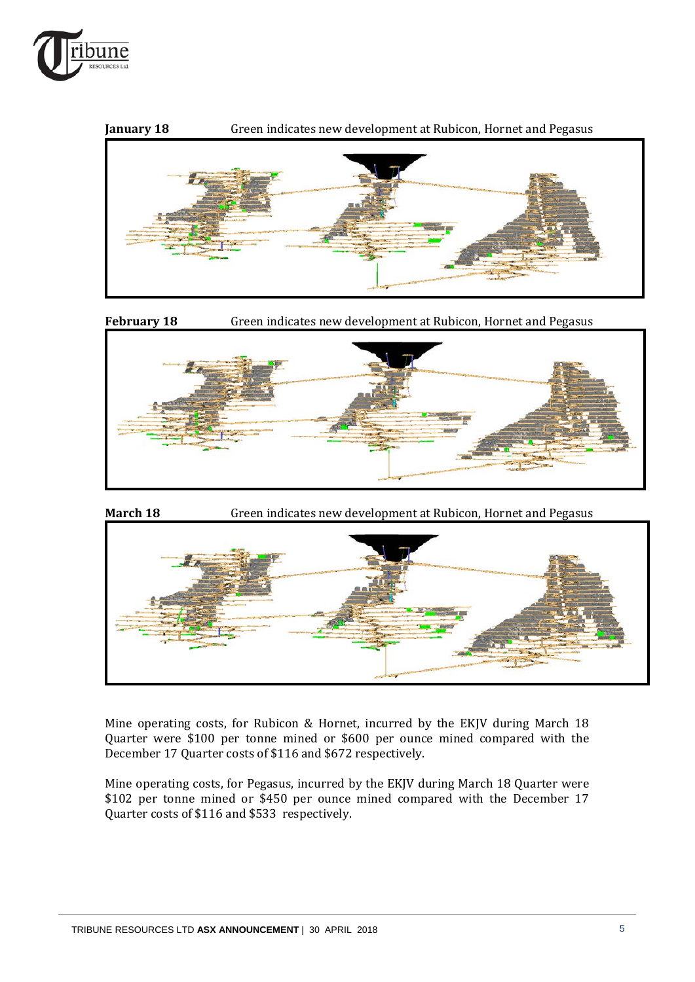











Mine operating costs, for Rubicon & Hornet, incurred by the EKJV during March 18 Quarter were \$100 per tonne mined or \$600 per ounce mined compared with the December 17 Quarter costs of \$116 and \$672 respectively.

Mine operating costs, for Pegasus, incurred by the EKJV during March 18 Quarter were \$102 per tonne mined or \$450 per ounce mined compared with the December 17 Quarter costs of \$116 and \$533 respectively.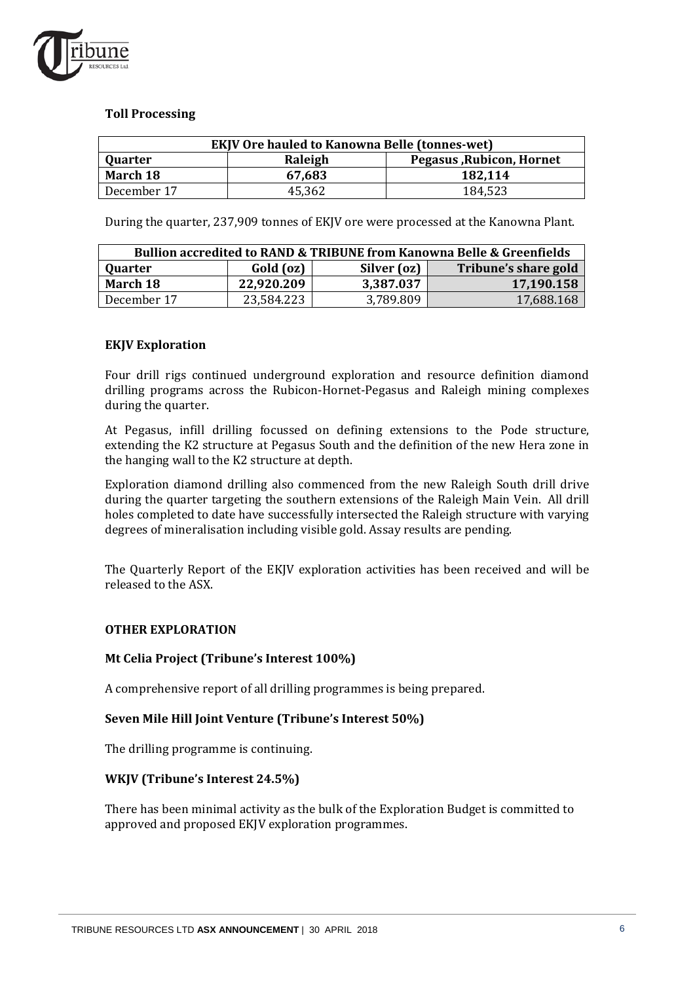

#### **Toll Processing**

| <b>EKJV</b> Ore hauled to Kanowna Belle (tonnes-wet)         |        |         |  |  |  |
|--------------------------------------------------------------|--------|---------|--|--|--|
| <b>Pegasus, Rubicon, Hornet</b><br>Raleigh<br><b>Quarter</b> |        |         |  |  |  |
| March 18                                                     | 67,683 | 182,114 |  |  |  |
| December 17                                                  | 45,362 | 184,523 |  |  |  |

During the quarter, 237,909 tonnes of EKJV ore were processed at the Kanowna Plant.

| Bullion accredited to RAND & TRIBUNE from Kanowna Belle & Greenfields |                                                  |           |            |  |  |  |
|-----------------------------------------------------------------------|--------------------------------------------------|-----------|------------|--|--|--|
| <b>Ouarter</b>                                                        | Tribune's share gold<br>Silver (oz)<br>Gold (oz) |           |            |  |  |  |
| March 18                                                              | 22,920.209                                       | 3,387.037 | 17,190.158 |  |  |  |
| December 17                                                           | 23,584.223                                       | 3,789.809 | 17,688.168 |  |  |  |

#### **EKJV Exploration**

Four drill rigs continued underground exploration and resource definition diamond drilling programs across the Rubicon-Hornet-Pegasus and Raleigh mining complexes during the quarter.

At Pegasus, infill drilling focussed on defining extensions to the Pode structure, extending the K2 structure at Pegasus South and the definition of the new Hera zone in the hanging wall to the K2 structure at depth.

Exploration diamond drilling also commenced from the new Raleigh South drill drive during the quarter targeting the southern extensions of the Raleigh Main Vein. All drill holes completed to date have successfully intersected the Raleigh structure with varying degrees of mineralisation including visible gold. Assay results are pending.

The Quarterly Report of the EKJV exploration activities has been received and will be released to the ASX.

#### **OTHER EXPLORATION**

#### **Mt Celia Project (Tribune's Interest 100%)**

A comprehensive report of all drilling programmes is being prepared.

#### **Seven Mile Hill Joint Venture (Tribune's Interest 50%)**

The drilling programme is continuing.

#### **WKJV (Tribune's Interest 24.5%)**

There has been minimal activity as the bulk of the Exploration Budget is committed to approved and proposed EKJV exploration programmes.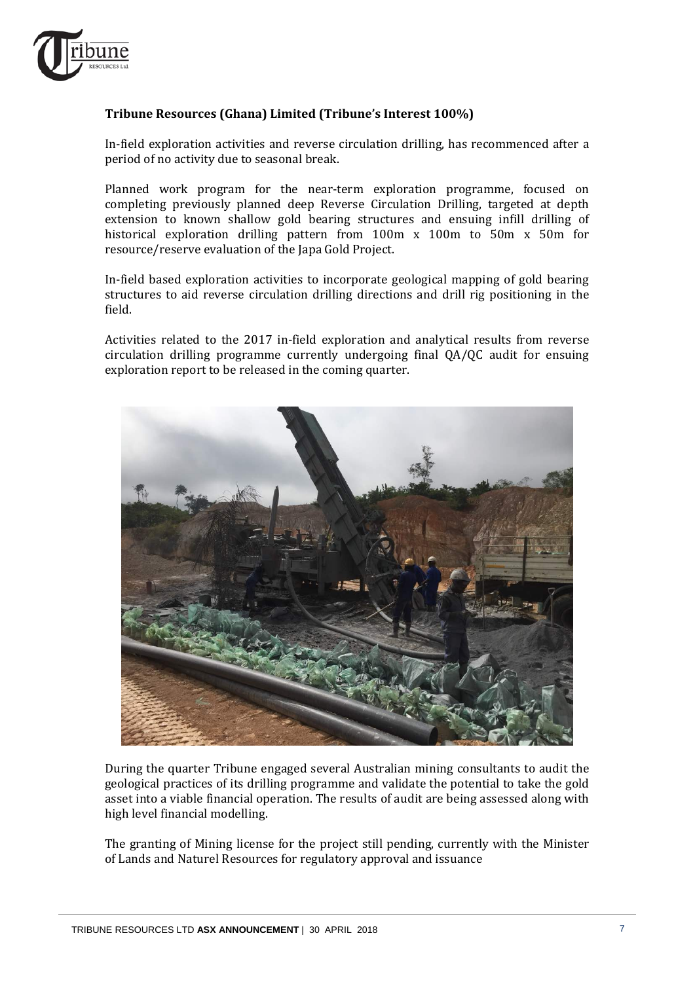

### **Tribune Resources (Ghana) Limited (Tribune's Interest 100%)**

In-field exploration activities and reverse circulation drilling, has recommenced after a period of no activity due to seasonal break.

Planned work program for the near-term exploration programme, focused on completing previously planned deep Reverse Circulation Drilling, targeted at depth extension to known shallow gold bearing structures and ensuing infill drilling of historical exploration drilling pattern from 100m x 100m to 50m x 50m for resource/reserve evaluation of the Japa Gold Project.

In-field based exploration activities to incorporate geological mapping of gold bearing structures to aid reverse circulation drilling directions and drill rig positioning in the field.

Activities related to the 2017 in-field exploration and analytical results from reverse circulation drilling programme currently undergoing final QA/QC audit for ensuing exploration report to be released in the coming quarter.



During the quarter Tribune engaged several Australian mining consultants to audit the geological practices of its drilling programme and validate the potential to take the gold asset into a viable financial operation. The results of audit are being assessed along with high level financial modelling.

The granting of Mining license for the project still pending, currently with the Minister of Lands and Naturel Resources for regulatory approval and issuance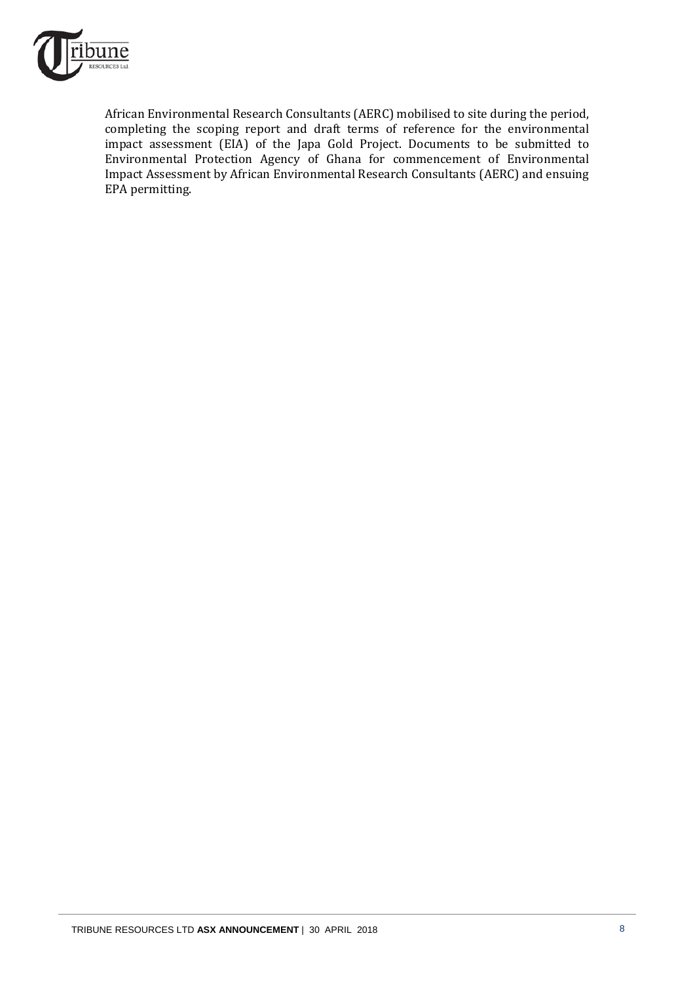

African Environmental Research Consultants (AERC) mobilised to site during the period, completing the scoping report and draft terms of reference for the environmental impact assessment (EIA) of the Japa Gold Project. Documents to be submitted to Environmental Protection Agency of Ghana for commencement of Environmental Impact Assessment by African Environmental Research Consultants (AERC) and ensuing EPA permitting.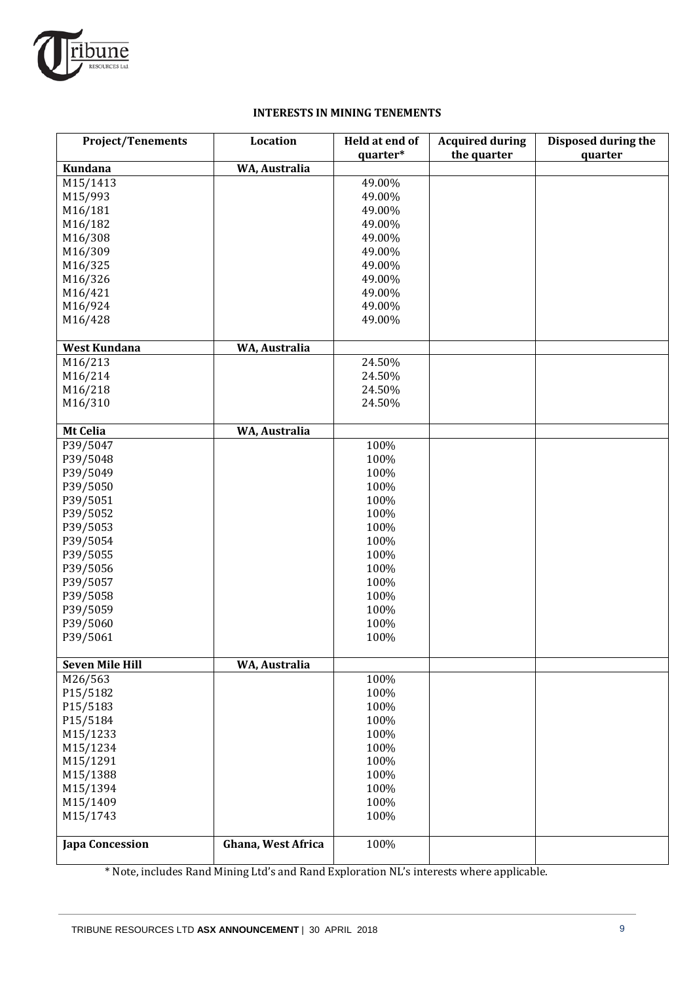

#### **INTERESTS IN MINING TENEMENTS**

| <b>Project/Tenements</b> | Location           | Held at end of | <b>Acquired during</b> | Disposed during the |
|--------------------------|--------------------|----------------|------------------------|---------------------|
|                          |                    | quarter*       | the quarter            | quarter             |
| Kundana                  | WA, Australia      |                |                        |                     |
| M15/1413                 |                    | 49.00%         |                        |                     |
| M15/993                  |                    | 49.00%         |                        |                     |
| M16/181                  |                    | 49.00%         |                        |                     |
| M16/182                  |                    | 49.00%         |                        |                     |
| M16/308                  |                    | 49.00%         |                        |                     |
| M16/309                  |                    | 49.00%         |                        |                     |
| M16/325                  |                    | 49.00%         |                        |                     |
| M16/326                  |                    | 49.00%         |                        |                     |
| M16/421                  |                    | 49.00%         |                        |                     |
| M16/924                  |                    | 49.00%         |                        |                     |
| M16/428                  |                    | 49.00%         |                        |                     |
|                          |                    |                |                        |                     |
| West Kundana             | WA, Australia      |                |                        |                     |
| M16/213                  |                    | 24.50%         |                        |                     |
| M16/214                  |                    | 24.50%         |                        |                     |
| M16/218                  |                    | 24.50%         |                        |                     |
| M16/310                  |                    | 24.50%         |                        |                     |
|                          |                    |                |                        |                     |
| Mt Celia                 | WA, Australia      |                |                        |                     |
| P39/5047                 |                    | 100%           |                        |                     |
| P39/5048                 |                    | 100%           |                        |                     |
| P39/5049                 |                    | 100%           |                        |                     |
| P39/5050                 |                    | 100%           |                        |                     |
| P39/5051                 |                    | 100%           |                        |                     |
| P39/5052                 |                    | 100%           |                        |                     |
| P39/5053                 |                    | 100%           |                        |                     |
| P39/5054                 |                    | 100%           |                        |                     |
| P39/5055                 |                    | 100%           |                        |                     |
| P39/5056                 |                    | 100%           |                        |                     |
|                          |                    | 100%           |                        |                     |
| P39/5057                 |                    | 100%           |                        |                     |
| P39/5058                 |                    |                |                        |                     |
| P39/5059                 |                    | 100%           |                        |                     |
| P39/5060                 |                    | 100%           |                        |                     |
| P39/5061                 |                    | 100%           |                        |                     |
| <b>Seven Mile Hill</b>   | WA, Australia      |                |                        |                     |
| M26/563                  |                    | 100%           |                        |                     |
| P15/5182                 |                    | 100%           |                        |                     |
| P15/5183                 |                    | 100%           |                        |                     |
| P15/5184                 |                    | 100%           |                        |                     |
| M15/1233                 |                    | 100%           |                        |                     |
| M15/1234                 |                    | 100%           |                        |                     |
| M15/1291                 |                    | 100%           |                        |                     |
| M15/1388                 |                    | 100%           |                        |                     |
| M15/1394                 |                    | 100%           |                        |                     |
| M15/1409                 |                    | 100%           |                        |                     |
| M15/1743                 |                    | 100%           |                        |                     |
|                          |                    |                |                        |                     |
| <b>Japa Concession</b>   | Ghana, West Africa | 100%           |                        |                     |
|                          |                    |                |                        |                     |

\* Note, includes Rand Mining Ltd's and Rand Exploration NL's interests where applicable.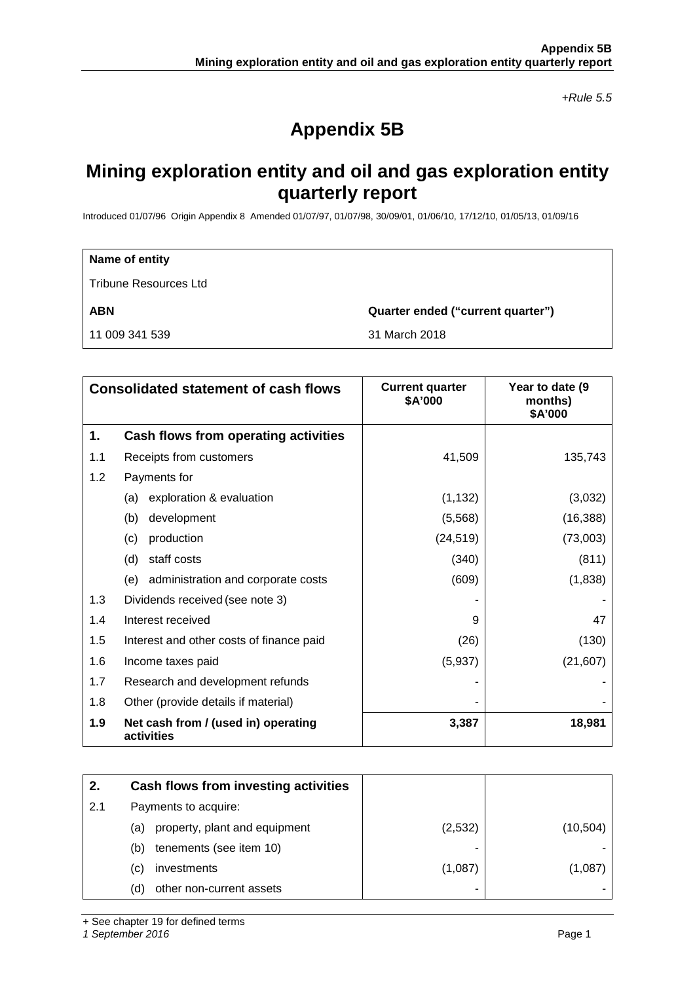*+Rule 5.5*

## **Appendix 5B**

## **Mining exploration entity and oil and gas exploration entity quarterly report**

Introduced 01/07/96 Origin Appendix 8 Amended 01/07/97, 01/07/98, 30/09/01, 01/06/10, 17/12/10, 01/05/13, 01/09/16

| Name of entity        |                                   |
|-----------------------|-----------------------------------|
| Tribune Resources Ltd |                                   |
| <b>ABN</b>            | Quarter ended ("current quarter") |
| 11 009 341 539        | 31 March 2018                     |

|     | <b>Consolidated statement of cash flows</b>       | <b>Current quarter</b><br>\$A'000 | Year to date (9<br>months)<br>\$A'000 |
|-----|---------------------------------------------------|-----------------------------------|---------------------------------------|
| 1.  | Cash flows from operating activities              |                                   |                                       |
| 1.1 | Receipts from customers                           | 41,509                            | 135,743                               |
| 1.2 | Payments for                                      |                                   |                                       |
|     | exploration & evaluation<br>(a)                   | (1, 132)                          | (3,032)                               |
|     | development<br>(b)                                | (5,568)                           | (16, 388)                             |
|     | production<br>(c)                                 | (24, 519)                         | (73,003)                              |
|     | (d)<br>staff costs                                | (340)                             | (811)                                 |
|     | administration and corporate costs<br>(e)         | (609)                             | (1,838)                               |
| 1.3 | Dividends received (see note 3)                   |                                   |                                       |
| 1.4 | Interest received                                 | 9                                 | 47                                    |
| 1.5 | Interest and other costs of finance paid          | (26)                              | (130)                                 |
| 1.6 | Income taxes paid                                 | (5,937)                           | (21, 607)                             |
| 1.7 | Research and development refunds                  |                                   |                                       |
| 1.8 | Other (provide details if material)               |                                   |                                       |
| 1.9 | Net cash from / (used in) operating<br>activities | 3,387                             | 18,981                                |

| 2.  | Cash flows from investing activities |         |           |
|-----|--------------------------------------|---------|-----------|
| 2.1 | Payments to acquire:                 |         |           |
|     | property, plant and equipment<br>(a) | (2,532) | (10, 504) |
|     | tenements (see item 10)<br>(b)       | -       |           |
|     | investments<br>(C)                   | (1,087) | (1,087)   |
|     | other non-current assets<br>(d)      | -       |           |

+ See chapter 19 for defined terms

*1 September 2016* Page 1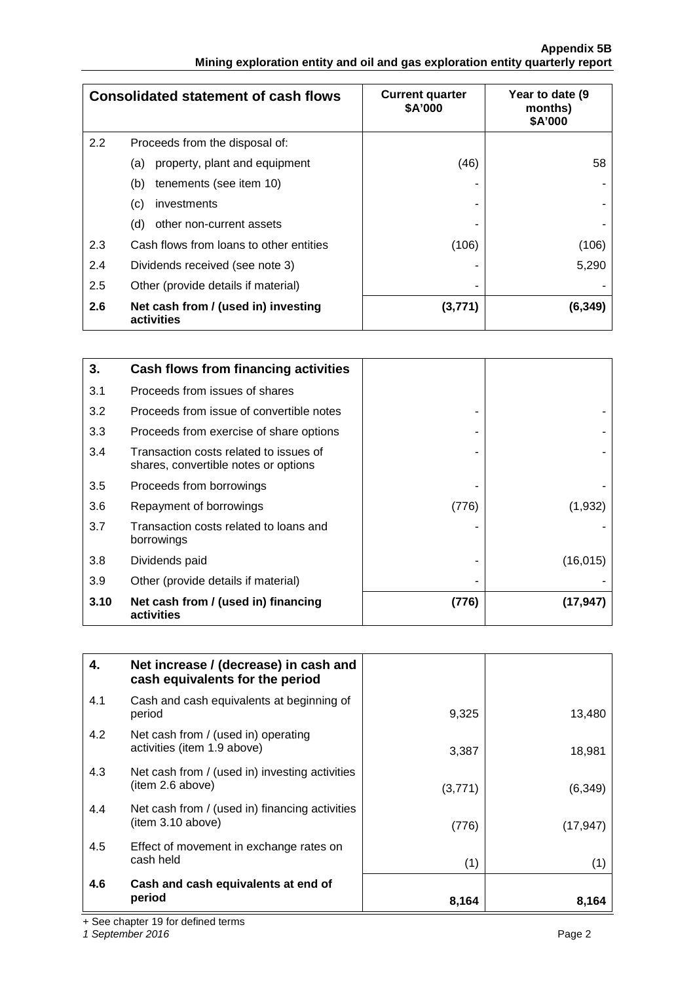#### **Appendix 5B Mining exploration entity and oil and gas exploration entity quarterly report**

|     | <b>Consolidated statement of cash flows</b>       | <b>Current quarter</b><br>\$A'000 | Year to date (9<br>months)<br>\$A'000 |
|-----|---------------------------------------------------|-----------------------------------|---------------------------------------|
| 2.2 | Proceeds from the disposal of:                    |                                   |                                       |
|     | property, plant and equipment<br>(a)              | (46)                              | 58                                    |
|     | (b)<br>tenements (see item 10)                    |                                   |                                       |
|     | (c)<br>investments                                |                                   |                                       |
|     | (d)<br>other non-current assets                   |                                   |                                       |
| 2.3 | Cash flows from loans to other entities           | (106)                             | (106)                                 |
| 2.4 | Dividends received (see note 3)                   |                                   | 5,290                                 |
| 2.5 | Other (provide details if material)               |                                   |                                       |
| 2.6 | Net cash from / (used in) investing<br>activities | (3,771)                           | (6, 349)                              |

| 3.   | Cash flows from financing activities                                           |       |          |
|------|--------------------------------------------------------------------------------|-------|----------|
| 3.1  | Proceeds from issues of shares                                                 |       |          |
| 3.2  | Proceeds from issue of convertible notes                                       |       |          |
| 3.3  | Proceeds from exercise of share options                                        |       |          |
| 3.4  | Transaction costs related to issues of<br>shares, convertible notes or options |       |          |
| 3.5  | Proceeds from borrowings                                                       |       |          |
| 3.6  | Repayment of borrowings                                                        | (776) | (1,932)  |
| 3.7  | Transaction costs related to loans and<br>borrowings                           |       |          |
| 3.8  | Dividends paid                                                                 |       | (16,015) |
| 3.9  | Other (provide details if material)                                            |       |          |
| 3.10 | Net cash from / (used in) financing<br>activities                              | (776) | (17,947) |

| 4.  | Net increase / (decrease) in cash and<br>cash equivalents for the period |         |          |
|-----|--------------------------------------------------------------------------|---------|----------|
| 4.1 | Cash and cash equivalents at beginning of<br>period                      | 9,325   | 13,480   |
| 4.2 | Net cash from / (used in) operating<br>activities (item 1.9 above)       | 3,387   | 18,981   |
| 4.3 | Net cash from / (used in) investing activities<br>(item 2.6 above)       | (3,771) | (6, 349) |
| 4.4 | Net cash from / (used in) financing activities<br>(item 3.10 above)      | (776)   | (17,947) |
| 4.5 | Effect of movement in exchange rates on<br>cash held                     | (1)     | (1)      |
| 4.6 | Cash and cash equivalents at end of<br>period                            | 8,164   | 8.164    |

+ See chapter 19 for defined terms

*1 September 2016* Page 2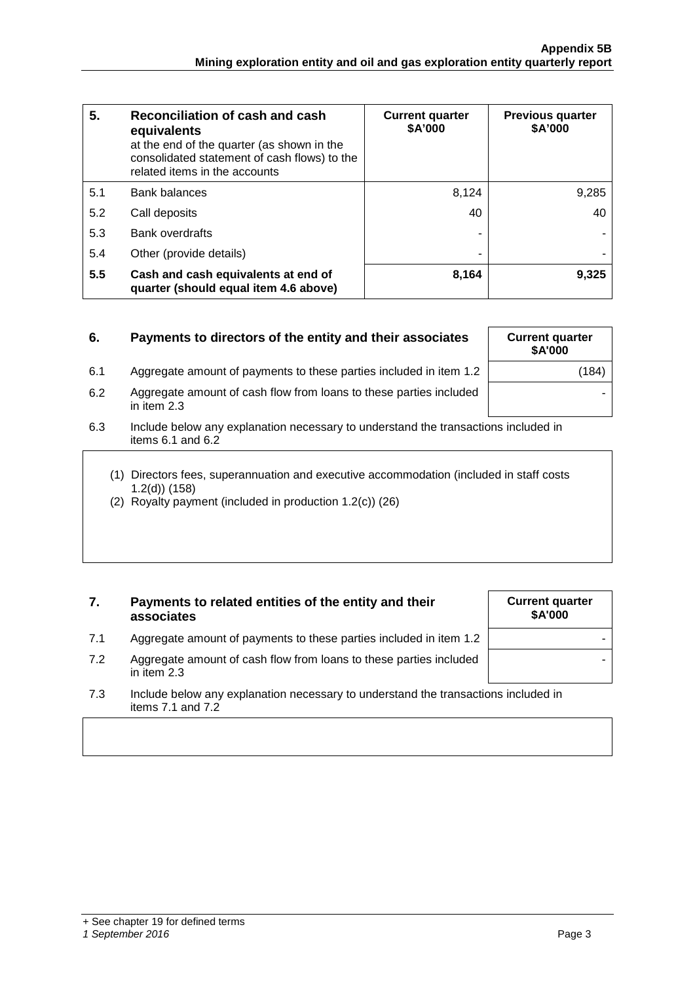| 5.  | Reconciliation of cash and cash<br>equivalents<br>at the end of the quarter (as shown in the<br>consolidated statement of cash flows) to the<br>related items in the accounts | <b>Current quarter</b><br>\$A'000 | <b>Previous quarter</b><br>\$A'000 |
|-----|-------------------------------------------------------------------------------------------------------------------------------------------------------------------------------|-----------------------------------|------------------------------------|
| 5.1 | Bank balances                                                                                                                                                                 | 8,124                             | 9,285                              |
| 5.2 | Call deposits                                                                                                                                                                 | 40                                | 40                                 |
| 5.3 | <b>Bank overdrafts</b>                                                                                                                                                        | -                                 |                                    |
| 5.4 | Other (provide details)                                                                                                                                                       | ۰                                 |                                    |
| 5.5 | Cash and cash equivalents at end of<br>quarter (should equal item 4.6 above)                                                                                                  | 8,164                             | 9,325                              |

#### **6.** Payments to directors of the entity and their associates | Current quarter

- 6.1 Aggregate amount of payments to these parties included in item 1.2 | (184)
- 6.2 Aggregate amount of cash flow from loans to these parties included in item 2.3
- 6.3 Include below any explanation necessary to understand the transactions included in items 6.1 and 6.2
	- (1) Directors fees, superannuation and executive accommodation (included in staff costs 1.2(d)) (158)
	- (2) Royalty payment (included in production 1.2(c)) (26)

#### **7. Payments to related entities of the entity and their associates**

- 7.1 Aggregate amount of payments to these parties included in item 1.2
- 7.2 Aggregate amount of cash flow from loans to these parties included in item 2.3
- 7.3 Include below any explanation necessary to understand the transactions included in items 7.1 and 7.2

|   | <b>Current quarter</b><br>\$A'000 |  |
|---|-----------------------------------|--|
| 2 |                                   |  |
| J |                                   |  |
|   |                                   |  |

**\$A'000**

-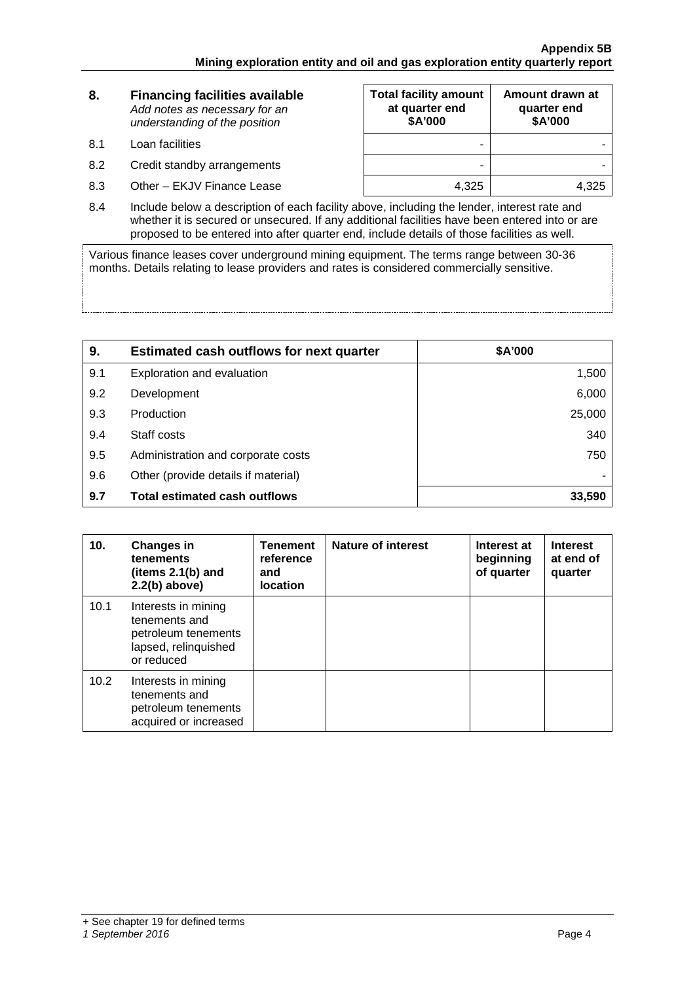| 8. | <b>Financing facilities available</b> |
|----|---------------------------------------|
|    | Add notes as necessary for an         |
|    | understanding of the position         |

- 8.1 Loan facilities
- 8.2 Credit standby arrangements
- 8.3 Other EKJV Finance Lease

| <b>Total facility amount</b><br>at quarter end<br>\$A'000 | Amount drawn at<br>quarter end<br>\$A'000 |
|-----------------------------------------------------------|-------------------------------------------|
|                                                           |                                           |
|                                                           |                                           |
| 4.325                                                     |                                           |

8.4 Include below a description of each facility above, including the lender, interest rate and whether it is secured or unsecured. If any additional facilities have been entered into or are proposed to be entered into after quarter end, include details of those facilities as well.

Various finance leases cover underground mining equipment. The terms range between 30-36 months. Details relating to lease providers and rates is considered commercially sensitive.

| 9.  | <b>Estimated cash outflows for next quarter</b> | \$A'000 |
|-----|-------------------------------------------------|---------|
| 9.1 | Exploration and evaluation                      | 1,500   |
| 9.2 | Development                                     | 6,000   |
| 9.3 | Production                                      | 25,000  |
| 9.4 | Staff costs                                     | 340     |
| 9.5 | Administration and corporate costs              | 750     |
| 9.6 | Other (provide details if material)             |         |
| 9.7 | <b>Total estimated cash outflows</b>            | 33,590  |

| 10.  | <b>Changes in</b><br>tenements<br>(items $2.1(b)$ and<br>$2.2(b)$ above)                          | <b>Tenement</b><br>reference<br>and<br><b>location</b> | Nature of interest | Interest at<br>beginning<br>of quarter | <b>Interest</b><br>at end of<br>quarter |
|------|---------------------------------------------------------------------------------------------------|--------------------------------------------------------|--------------------|----------------------------------------|-----------------------------------------|
| 10.1 | Interests in mining<br>tenements and<br>petroleum tenements<br>lapsed, relinquished<br>or reduced |                                                        |                    |                                        |                                         |
| 10.2 | Interests in mining<br>tenements and<br>petroleum tenements<br>acquired or increased              |                                                        |                    |                                        |                                         |